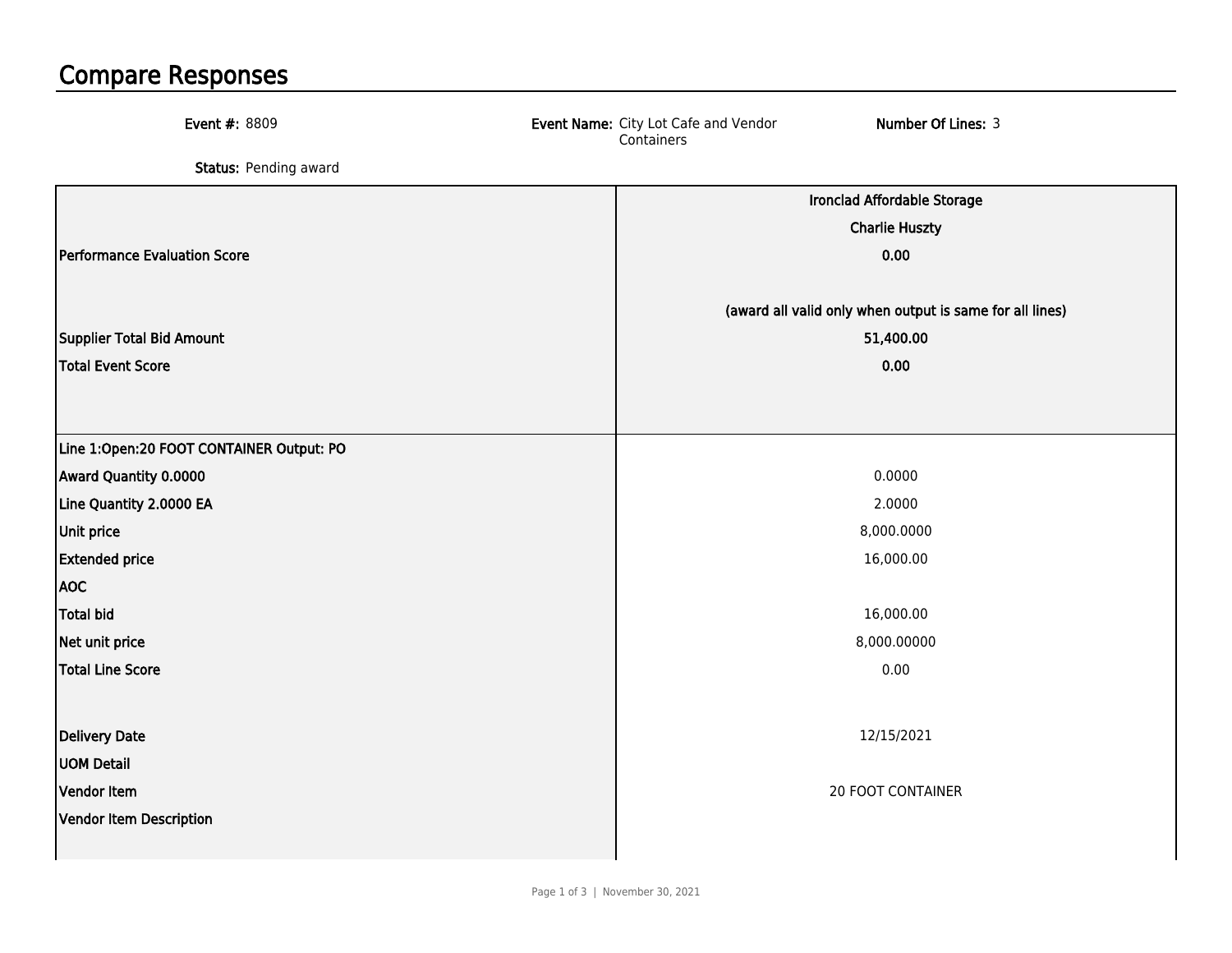## Compare Responses

| <b>Event #: 8809</b>                     | Number Of Lines: 3<br>Event Name: City Lot Cafe and Vendor<br>Containers |
|------------------------------------------|--------------------------------------------------------------------------|
| Status: Pending award                    |                                                                          |
|                                          | Ironclad Affordable Storage                                              |
|                                          | <b>Charlie Huszty</b>                                                    |
| Performance Evaluation Score             | 0.00                                                                     |
|                                          | (award all valid only when output is same for all lines)                 |
| Supplier Total Bid Amount                | 51,400.00                                                                |
| <b>Total Event Score</b>                 | 0.00                                                                     |
|                                          |                                                                          |
| Line 1:Open:20 FOOT CONTAINER Output: PO |                                                                          |
| Award Quantity 0.0000                    | 0.0000                                                                   |
| Line Quantity 2.0000 EA                  | 2.0000                                                                   |
| Unit price                               | 8,000.0000                                                               |
| <b>Extended price</b>                    | 16,000.00                                                                |
| <b>AOC</b>                               |                                                                          |
| <b>Total bid</b>                         | 16,000.00                                                                |
| Net unit price                           | 8,000.00000                                                              |
| <b>Total Line Score</b>                  | 0.00                                                                     |
|                                          |                                                                          |
| Delivery Date                            | 12/15/2021                                                               |
| <b>UOM Detail</b>                        |                                                                          |
| Vendor Item                              | <b>20 FOOT CONTAINER</b>                                                 |
| Vendor Item Description                  |                                                                          |
|                                          |                                                                          |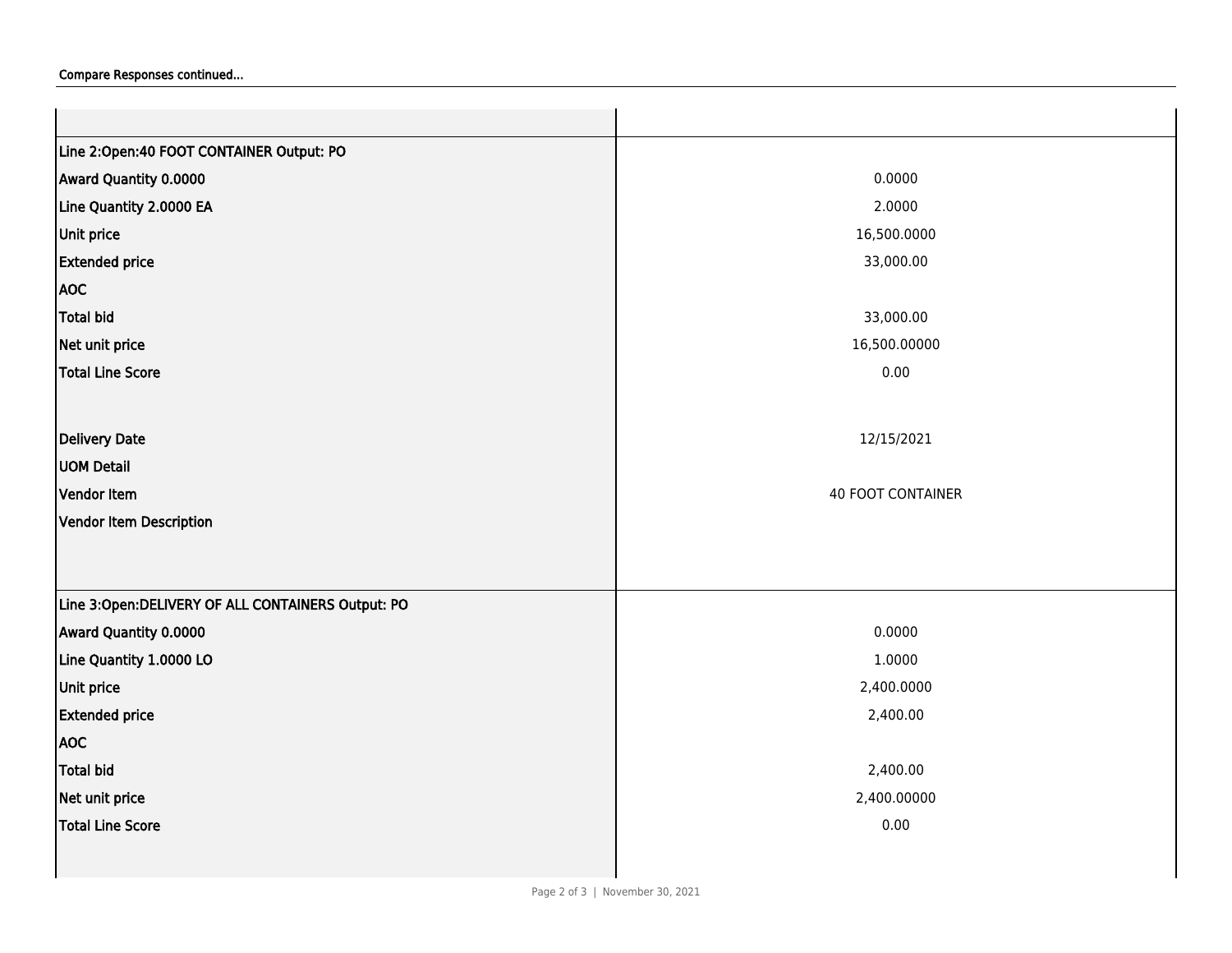| Line 2:Open:40 FOOT CONTAINER Output: PO          |                          |
|---------------------------------------------------|--------------------------|
| Award Quantity 0.0000                             | 0.0000                   |
| Line Quantity 2.0000 EA                           | 2.0000                   |
| Unit price                                        | 16,500.0000              |
| <b>Extended price</b>                             | 33,000.00                |
| <b>AOC</b>                                        |                          |
| Total bid                                         | 33,000.00                |
| Net unit price                                    | 16,500.00000             |
| Total Line Score                                  | 0.00                     |
|                                                   |                          |
| Delivery Date                                     | 12/15/2021               |
| <b>UOM Detail</b>                                 |                          |
| Vendor Item                                       | <b>40 FOOT CONTAINER</b> |
| Vendor Item Description                           |                          |
|                                                   |                          |
|                                                   |                          |
| Line 3:Open:DELIVERY OF ALL CONTAINERS Output: PO |                          |
| Award Quantity 0.0000                             | 0.0000                   |
| Line Quantity 1.0000 LO                           | 1.0000                   |
| Unit price                                        | 2,400.0000               |
| <b>Extended price</b>                             | 2,400.00                 |
| <b>AOC</b>                                        |                          |
| Total bid                                         | 2,400.00                 |
| Net unit price                                    | 2,400.00000              |
| Total Line Score                                  | 0.00                     |
|                                                   |                          |